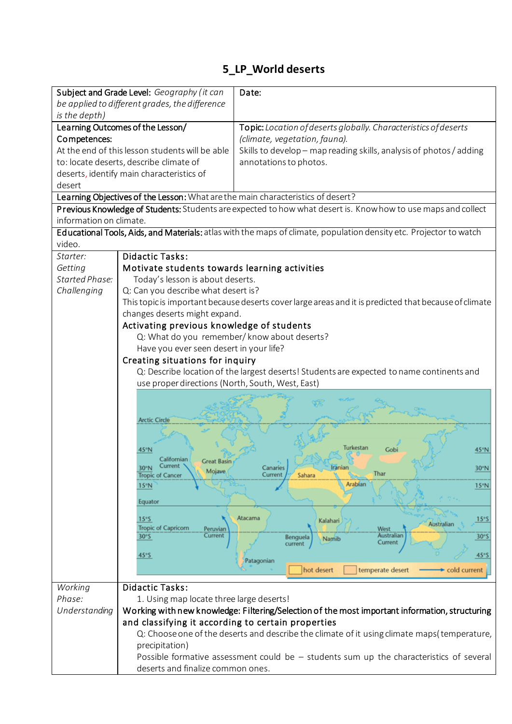## **5\_LP\_World deserts**

|                                                                                                                    | Subject and Grade Level: Geography (it can                                                                                                           | Date:                                                                                       |
|--------------------------------------------------------------------------------------------------------------------|------------------------------------------------------------------------------------------------------------------------------------------------------|---------------------------------------------------------------------------------------------|
|                                                                                                                    | be applied to different grades, the difference                                                                                                       |                                                                                             |
| is the depth)                                                                                                      |                                                                                                                                                      |                                                                                             |
|                                                                                                                    | Learning Outcomes of the Lesson/                                                                                                                     | Topic: Location of deserts globally. Characteristics of deserts                             |
| Competences:                                                                                                       |                                                                                                                                                      | (climate, vegetation, fauna).                                                               |
| At the end of this lesson students will be able                                                                    |                                                                                                                                                      | Skills to develop - map reading skills, analysis of photos / adding                         |
| to: locate deserts, describe climate of                                                                            |                                                                                                                                                      | annotations to photos.                                                                      |
|                                                                                                                    | deserts, identify main characteristics of                                                                                                            |                                                                                             |
| desert                                                                                                             |                                                                                                                                                      |                                                                                             |
| Learning Objectives of the Lesson: What are the main characteristics of desert?                                    |                                                                                                                                                      |                                                                                             |
| Previous Knowledge of Students: Students are expected to how what desert is. Know how to use maps and collect      |                                                                                                                                                      |                                                                                             |
| information on climate.                                                                                            |                                                                                                                                                      |                                                                                             |
| Educational Tools, Aids, and Materials: atlas with the maps of climate, population density etc. Projector to watch |                                                                                                                                                      |                                                                                             |
| video.                                                                                                             |                                                                                                                                                      |                                                                                             |
| Starter:                                                                                                           | <b>Didactic Tasks:</b>                                                                                                                               |                                                                                             |
| Getting                                                                                                            | Motivate students towards learning activities                                                                                                        |                                                                                             |
| <b>Started Phase:</b>                                                                                              | Today's lesson is about deserts.                                                                                                                     |                                                                                             |
| Challenging                                                                                                        | Q: Can you describe what desert is?                                                                                                                  |                                                                                             |
|                                                                                                                    | This topic is important because deserts cover large areas and it is predicted that because of climate                                                |                                                                                             |
|                                                                                                                    | changes deserts might expand.                                                                                                                        |                                                                                             |
|                                                                                                                    | Activating previous knowledge of students                                                                                                            |                                                                                             |
|                                                                                                                    | Q: What do you remember/know about deserts?                                                                                                          |                                                                                             |
|                                                                                                                    |                                                                                                                                                      |                                                                                             |
|                                                                                                                    | Have you ever seen desert in your life?                                                                                                              |                                                                                             |
|                                                                                                                    | Creating situations for inquiry                                                                                                                      |                                                                                             |
|                                                                                                                    | Q: Describe location of the largest deserts! Students are expected to name continents and<br>use proper directions (North, South, West, East)        |                                                                                             |
|                                                                                                                    |                                                                                                                                                      |                                                                                             |
|                                                                                                                    |                                                                                                                                                      |                                                                                             |
|                                                                                                                    |                                                                                                                                                      |                                                                                             |
|                                                                                                                    | <b>Arctic Circle</b>                                                                                                                                 |                                                                                             |
|                                                                                                                    |                                                                                                                                                      |                                                                                             |
|                                                                                                                    | 45°N                                                                                                                                                 | 45°N<br>Gob                                                                                 |
|                                                                                                                    | alifornian<br><b>Great Basin</b>                                                                                                                     |                                                                                             |
|                                                                                                                    | 30°N<br>Mojave                                                                                                                                       | 30°N<br>Thar                                                                                |
|                                                                                                                    | <b>Tropic of Cancer</b>                                                                                                                              | Current<br>Sahara<br>Arabian                                                                |
|                                                                                                                    | 15°N                                                                                                                                                 | 15°N                                                                                        |
|                                                                                                                    | Equator                                                                                                                                              |                                                                                             |
|                                                                                                                    | 15°S                                                                                                                                                 | Atacama<br>15°S                                                                             |
|                                                                                                                    | <b>Tropic of Capricorn</b><br>Peruvian                                                                                                               | Kalahari<br>Australian<br><b>West</b>                                                       |
|                                                                                                                    | Current<br>30°S                                                                                                                                      | Australian<br>30°S<br>Benguela<br>Namib<br>Current                                          |
|                                                                                                                    |                                                                                                                                                      | current                                                                                     |
|                                                                                                                    | 45°S                                                                                                                                                 | 45°S<br>Patagonian                                                                          |
|                                                                                                                    |                                                                                                                                                      | temperate desert<br>hot desert<br>cold current                                              |
|                                                                                                                    | <b>Didactic Tasks:</b>                                                                                                                               |                                                                                             |
| Working<br>Phase:                                                                                                  |                                                                                                                                                      |                                                                                             |
|                                                                                                                    | 1. Using map locate three large deserts!                                                                                                             |                                                                                             |
| Understanding                                                                                                      | Working with new knowledge: Filtering/Selection of the most important information, structuring<br>and classifying it according to certain properties |                                                                                             |
|                                                                                                                    |                                                                                                                                                      |                                                                                             |
|                                                                                                                    |                                                                                                                                                      | Q: Choose one of the deserts and describe the climate of it using climate maps(temperature, |
|                                                                                                                    | precipitation)                                                                                                                                       |                                                                                             |
|                                                                                                                    |                                                                                                                                                      | Possible formative assessment could be $-$ students sum up the characteristics of several   |
|                                                                                                                    | deserts and finalize common ones.                                                                                                                    |                                                                                             |